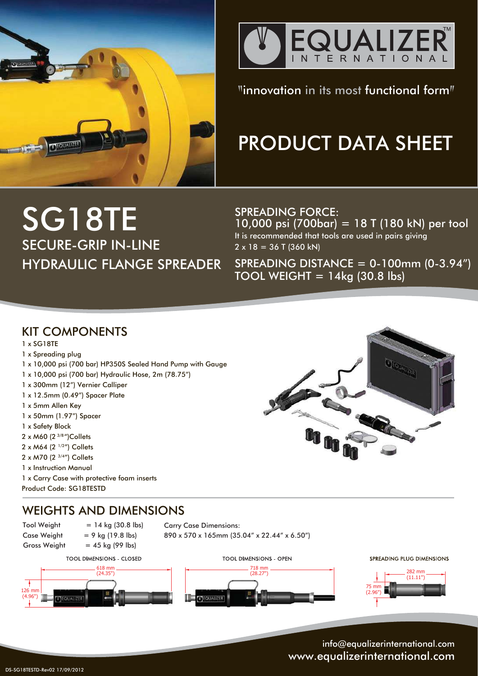



 $"innovation in its most functional form"$ 

# PRODUCT DATA SHEET

# SG18TE SECURE-GRIP IN-LINE HYDRAULIC FLANGE SPREADER

SPREADING FORCE: 10,000 psi (700bar) = 18 T (180 kN) per tool It is recommended that tools are used in pairs giving  $2 \times 18 = 36$  T (360 kN)

SPREADING DISTANCE = 0-100mm (0-3.94") TOOL WEIGHT  $= 14kg$  (30.8 lbs)

## KIT COMPONENTS

- 1 x SG18TE
- 1 x Spreading plug
- 1 x 10,000 psi (700 bar) HP350S Sealed Hand Pump with Gauge
- 1 x 10,000 psi (700 bar) Hydraulic Hose, 2m (78.75")
- 1 x 300mm (12") Vernier Calliper
- 1 x 12.5mm (0.49") Spacer Plate
- 1 x 5mm Allen Key
- 1 x 50mm (1.97") Spacer
- 1 x Safety Block
- 2 x M60 (2 <sup>3/8</sup>")Collets
- 2 x M64 (2<sup>1/2"</sup>) Collets
- 2 x M70 (2 3/4") Collets
- 1 x Instruction Manual

1 x Carry Case with protective foam inserts Product Code: SG18TESTD

# WEIGHTS AND DIMENSIONS

Gross Weight  $= 45$  kg (99 lbs)

126 mm (4.96")

 $Tool Weight = 14 kg (30.8 lbs)$ Case Weight  $= 9$  kg (19.8 lbs)

Carry Case Dimensions:

890 x 570 x 165mm (35.04" x 22.44" x 6.50")







SPREADING PLUG DIMENSIONS

OEODADZE



info@equalizerinternational.com www.equalizerinternational.com